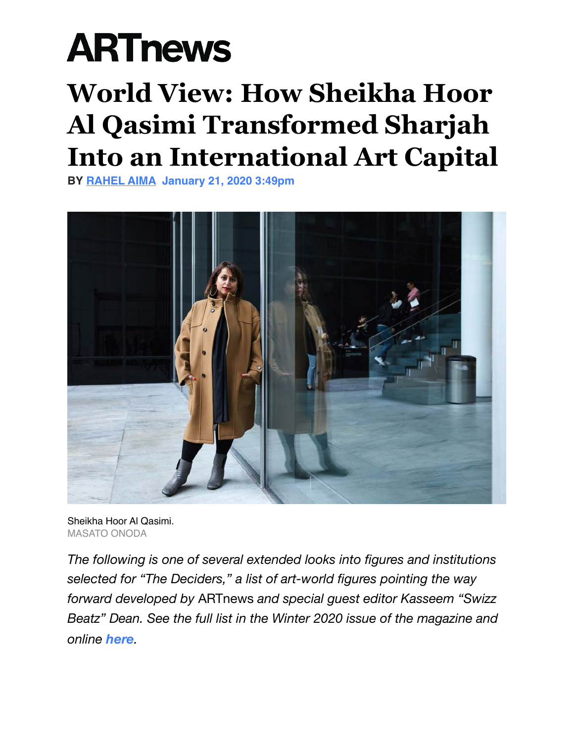## **ARTnews**

## **World View: How Sheikha Hoor Al Qasimi Transformed Sharjah Into an International Art Capital**

**BY [RAHEL AIMA](https://www.artnews.com/author/rahel-aima/) January 21, 2020 3:49pm**



Sheikha Hoor Al Qasimi. MASATO ONODA

*The following is one of several extended looks into figures and institutions selected for "The Deciders," a list of art-world figures pointing the way forward developed by* ARTnews *and special guest editor Kasseem "Swizz Beatz" Dean. See the full list in the Winter 2020 issue of the magazine and online [here](https://www.artnews.com/art-news/news/shaping-art-2020s-1202674913/).*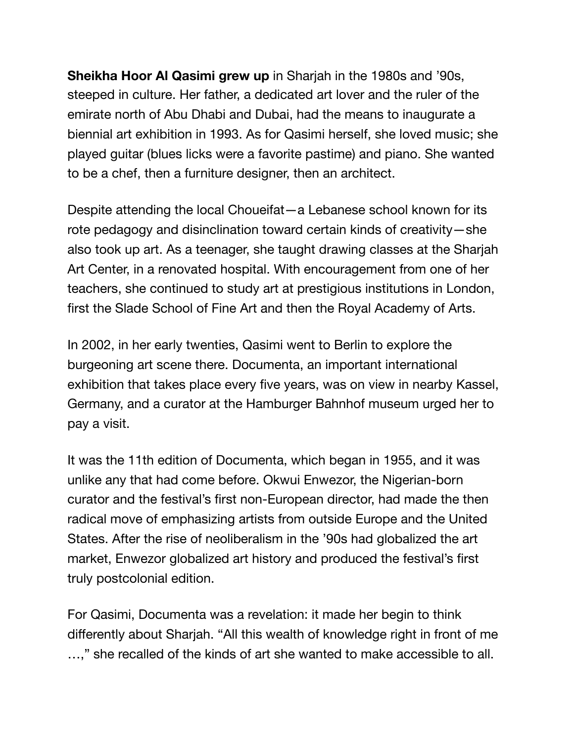**Sheikha Hoor Al Qasimi grew up** in Sharjah in the 1980s and '90s, steeped in culture. Her father, a dedicated art lover and the ruler of the emirate north of Abu Dhabi and Dubai, had the means to inaugurate a biennial art exhibition in 1993. As for Qasimi herself, she loved music; she played guitar (blues licks were a favorite pastime) and piano. She wanted to be a chef, then a furniture designer, then an architect.

Despite attending the local Choueifat—a Lebanese school known for its rote pedagogy and disinclination toward certain kinds of creativity—she also took up art. As a teenager, she taught drawing classes at the Sharjah Art Center, in a renovated hospital. With encouragement from one of her teachers, she continued to study art at prestigious institutions in London, first the Slade School of Fine Art and then the Royal Academy of Arts.

In 2002, in her early twenties, Qasimi went to Berlin to explore the burgeoning art scene there. Documenta, an important international exhibition that takes place every five years, was on view in nearby Kassel, Germany, and a curator at the Hamburger Bahnhof museum urged her to pay a visit.

It was the 11th edition of Documenta, which began in 1955, and it was unlike any that had come before. Okwui Enwezor, the Nigerian-born curator and the festival's first non-European director, had made the then radical move of emphasizing artists from outside Europe and the United States. After the rise of neoliberalism in the '90s had globalized the art market, Enwezor globalized art history and produced the festival's first truly postcolonial edition.

For Qasimi, Documenta was a revelation: it made her begin to think differently about Sharjah. "All this wealth of knowledge right in front of me …," she recalled of the kinds of art she wanted to make accessible to all.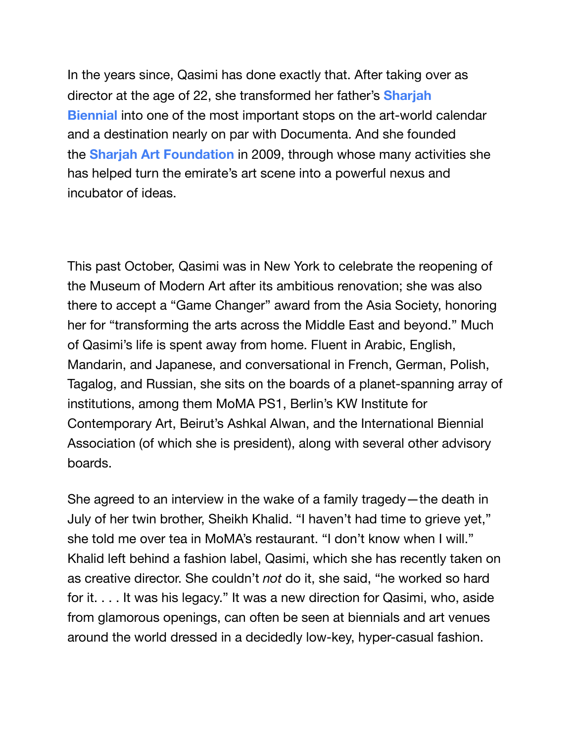In the years since, Qasimi has done exactly that. After taking over as director at the age of 22, she transformed her father's **[Sharjah](https://www.artnews.com/t/sharjah-biennial/)  [Biennial](https://www.artnews.com/t/sharjah-biennial/)** into one of the most important stops on the art-world calendar and a destination nearly on par with Documenta. And she founded the **[Sharjah Art Foundation](https://www.artnews.com/t/sharjah-art-foundation/)** in 2009, through whose many activities she has helped turn the emirate's art scene into a powerful nexus and incubator of ideas.

This past October, Qasimi was in New York to celebrate the reopening of the Museum of Modern Art after its ambitious renovation; she was also there to accept a "Game Changer" award from the Asia Society, honoring her for "transforming the arts across the Middle East and beyond." Much of Qasimi's life is spent away from home. Fluent in Arabic, English, Mandarin, and Japanese, and conversational in French, German, Polish, Tagalog, and Russian, she sits on the boards of a planet-spanning array of institutions, among them MoMA PS1, Berlin's KW Institute for Contemporary Art, Beirut's Ashkal Alwan, and the International Biennial Association (of which she is president), along with several other advisory boards.

She agreed to an interview in the wake of a family tragedy—the death in July of her twin brother, Sheikh Khalid. "I haven't had time to grieve yet," she told me over tea in MoMA's restaurant. "I don't know when I will." Khalid left behind a fashion label, Qasimi, which she has recently taken on as creative director. She couldn't *not* do it, she said, "he worked so hard for it. . . . It was his legacy." It was a new direction for Qasimi, who, aside from glamorous openings, can often be seen at biennials and art venues around the world dressed in a decidedly low-key, hyper-casual fashion.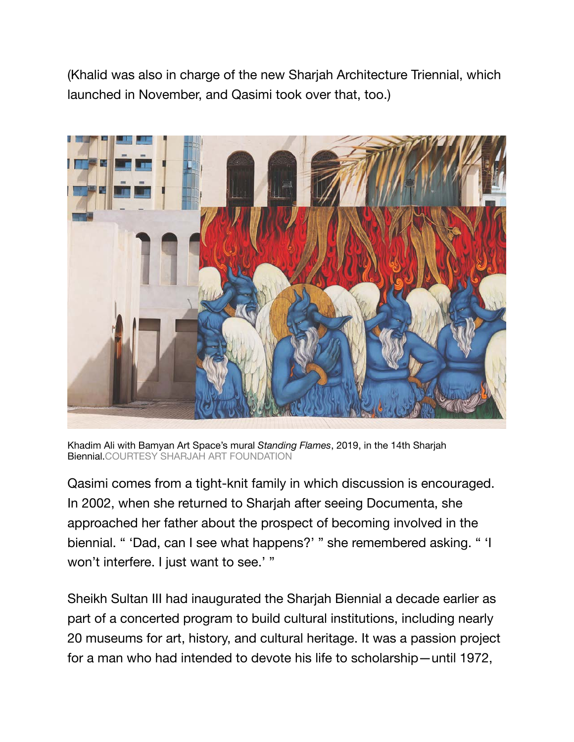(Khalid was also in charge of the new Sharjah Architecture Triennial, which launched in November, and Qasimi took over that, too.)



Khadim Ali with Bamyan Art Space's mural *Standing Flames*, 2019, in the 14th Sharjah Biennial.COURTESY SHARJAH ART FOUNDATION

Qasimi comes from a tight-knit family in which discussion is encouraged. In 2002, when she returned to Sharjah after seeing Documenta, she approached her father about the prospect of becoming involved in the biennial. " 'Dad, can I see what happens?' " she remembered asking. " 'I won't interfere. I just want to see.' "

Sheikh Sultan III had inaugurated the Sharjah Biennial a decade earlier as part of a concerted program to build cultural institutions, including nearly 20 museums for art, history, and cultural heritage. It was a passion project for a man who had intended to devote his life to scholarship—until 1972,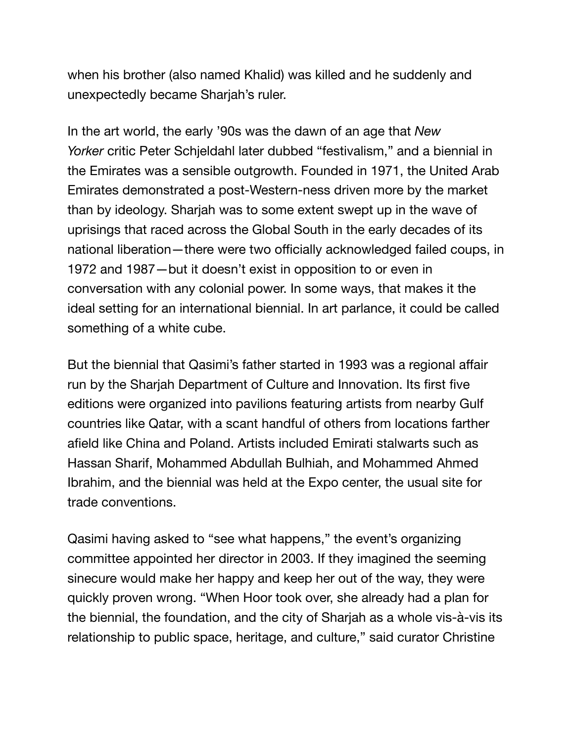when his brother (also named Khalid) was killed and he suddenly and unexpectedly became Sharjah's ruler.

In the art world, the early '90s was the dawn of an age that *New Yorker* critic Peter Schjeldahl later dubbed "festivalism," and a biennial in the Emirates was a sensible outgrowth. Founded in 1971, the United Arab Emirates demonstrated a post-Western-ness driven more by the market than by ideology. Sharjah was to some extent swept up in the wave of uprisings that raced across the Global South in the early decades of its national liberation—there were two officially acknowledged failed coups, in 1972 and 1987—but it doesn't exist in opposition to or even in conversation with any colonial power. In some ways, that makes it the ideal setting for an international biennial. In art parlance, it could be called something of a white cube.

But the biennial that Qasimi's father started in 1993 was a regional affair run by the Sharjah Department of Culture and Innovation. Its first five editions were organized into pavilions featuring artists from nearby Gulf countries like Qatar, with a scant handful of others from locations farther afield like China and Poland. Artists included Emirati stalwarts such as Hassan Sharif, Mohammed Abdullah Bulhiah, and Mohammed Ahmed Ibrahim, and the biennial was held at the Expo center, the usual site for trade conventions.

Qasimi having asked to "see what happens," the event's organizing committee appointed her director in 2003. If they imagined the seeming sinecure would make her happy and keep her out of the way, they were quickly proven wrong. "When Hoor took over, she already had a plan for the biennial, the foundation, and the city of Sharjah as a whole vis-à-vis its relationship to public space, heritage, and culture," said curator Christine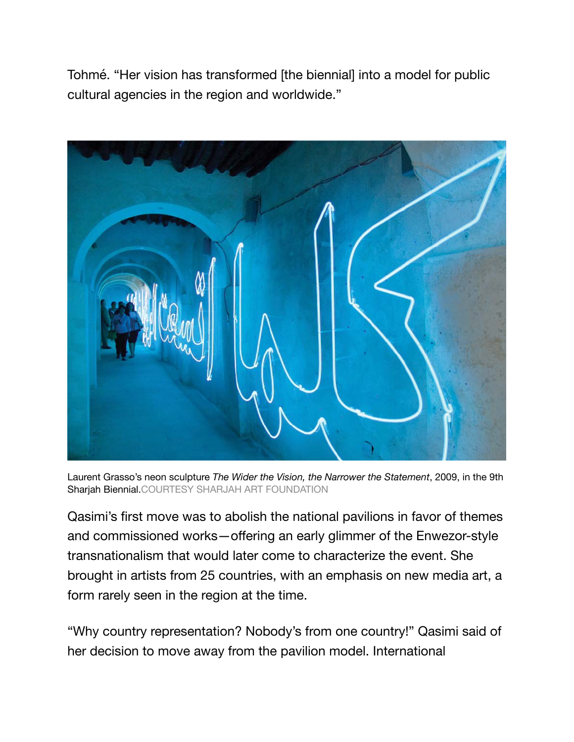Tohmé. "Her vision has transformed [the biennial] into a model for public cultural agencies in the region and worldwide."



Laurent Grasso's neon sculpture *The Wider the Vision, the Narrower the Statement*, 2009, in the 9th Sharjah Biennial.COURTESY SHARJAH ART FOUNDATION

Qasimi's first move was to abolish the national pavilions in favor of themes and commissioned works—offering an early glimmer of the Enwezor-style transnationalism that would later come to characterize the event. She brought in artists from 25 countries, with an emphasis on new media art, a form rarely seen in the region at the time.

"Why country representation? Nobody's from one country!" Qasimi said of her decision to move away from the pavilion model. International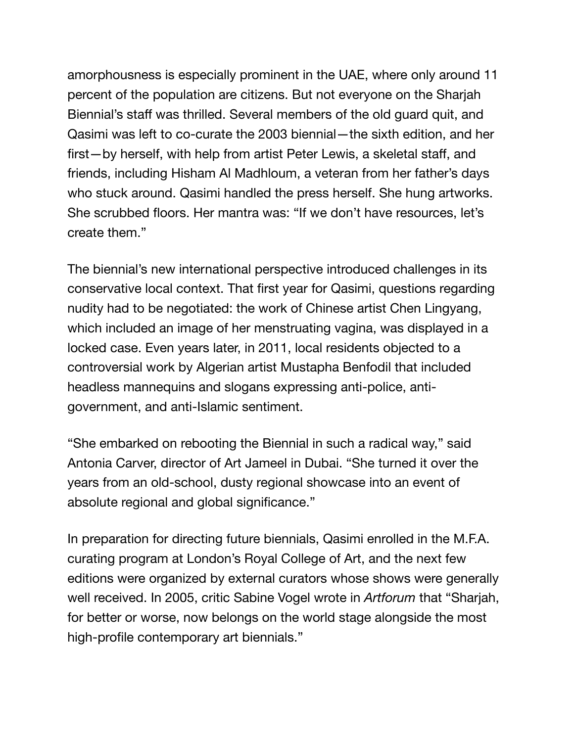amorphousness is especially prominent in the UAE, where only around 11 percent of the population are citizens. But not everyone on the Sharjah Biennial's staff was thrilled. Several members of the old guard quit, and Qasimi was left to co-curate the 2003 biennial—the sixth edition, and her first—by herself, with help from artist Peter Lewis, a skeletal staff, and friends, including Hisham Al Madhloum, a veteran from her father's days who stuck around. Qasimi handled the press herself. She hung artworks. She scrubbed floors. Her mantra was: "If we don't have resources, let's create them."

The biennial's new international perspective introduced challenges in its conservative local context. That first year for Qasimi, questions regarding nudity had to be negotiated: the work of Chinese artist Chen Lingyang, which included an image of her menstruating vagina, was displayed in a locked case. Even years later, in 2011, local residents objected to a controversial work by Algerian artist Mustapha Benfodil that included headless mannequins and slogans expressing anti-police, antigovernment, and anti-Islamic sentiment.

"She embarked on rebooting the Biennial in such a radical way," said Antonia Carver, director of Art Jameel in Dubai. "She turned it over the years from an old-school, dusty regional showcase into an event of absolute regional and global significance."

In preparation for directing future biennials, Qasimi enrolled in the M.F.A. curating program at London's Royal College of Art, and the next few editions were organized by external curators whose shows were generally well received. In 2005, critic Sabine Vogel wrote in *Artforum* that "Sharjah, for better or worse, now belongs on the world stage alongside the most high-profile contemporary art biennials."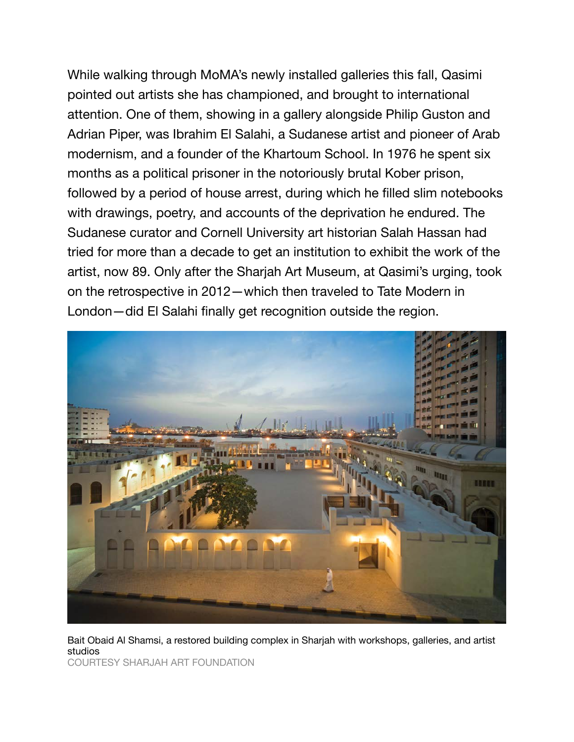While walking through MoMA's newly installed galleries this fall, Qasimi pointed out artists she has championed, and brought to international attention. One of them, showing in a gallery alongside Philip Guston and Adrian Piper, was Ibrahim El Salahi, a Sudanese artist and pioneer of Arab modernism, and a founder of the Khartoum School. In 1976 he spent six months as a political prisoner in the notoriously brutal Kober prison, followed by a period of house arrest, during which he filled slim notebooks with drawings, poetry, and accounts of the deprivation he endured. The Sudanese curator and Cornell University art historian Salah Hassan had tried for more than a decade to get an institution to exhibit the work of the artist, now 89. Only after the Sharjah Art Museum, at Qasimi's urging, took on the retrospective in 2012—which then traveled to Tate Modern in London—did El Salahi finally get recognition outside the region.



Bait Obaid Al Shamsi, a restored building complex in Sharjah with workshops, galleries, and artist studios

COURTESY SHARJAH ART FOUNDATION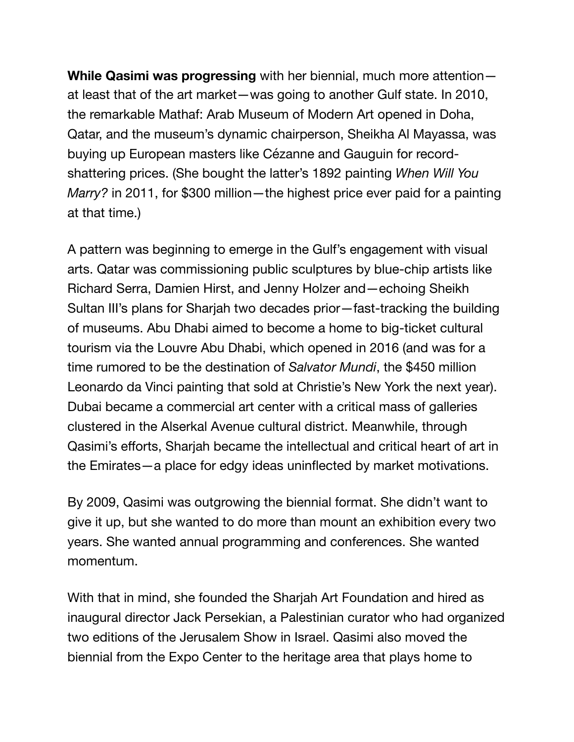**While Qasimi was progressing** with her biennial, much more attention at least that of the art market—was going to another Gulf state. In 2010, the remarkable Mathaf: Arab Museum of Modern Art opened in Doha, Qatar, and the museum's dynamic chairperson, Sheikha Al Mayassa, was buying up European masters like Cézanne and Gauguin for recordshattering prices. (She bought the latter's 1892 painting *When Will You Marry?* in 2011, for \$300 million—the highest price ever paid for a painting at that time.)

A pattern was beginning to emerge in the Gulf's engagement with visual arts. Qatar was commissioning public sculptures by blue-chip artists like Richard Serra, Damien Hirst, and Jenny Holzer and—echoing Sheikh Sultan III's plans for Sharjah two decades prior—fast-tracking the building of museums. Abu Dhabi aimed to become a home to big-ticket cultural tourism via the Louvre Abu Dhabi, which opened in 2016 (and was for a time rumored to be the destination of *Salvator Mundi*, the \$450 million Leonardo da Vinci painting that sold at Christie's New York the next year). Dubai became a commercial art center with a critical mass of galleries clustered in the Alserkal Avenue cultural district. Meanwhile, through Qasimi's efforts, Sharjah became the intellectual and critical heart of art in the Emirates—a place for edgy ideas uninflected by market motivations.

By 2009, Qasimi was outgrowing the biennial format. She didn't want to give it up, but she wanted to do more than mount an exhibition every two years. She wanted annual programming and conferences. She wanted momentum.

With that in mind, she founded the Sharjah Art Foundation and hired as inaugural director Jack Persekian, a Palestinian curator who had organized two editions of the Jerusalem Show in Israel. Qasimi also moved the biennial from the Expo Center to the heritage area that plays home to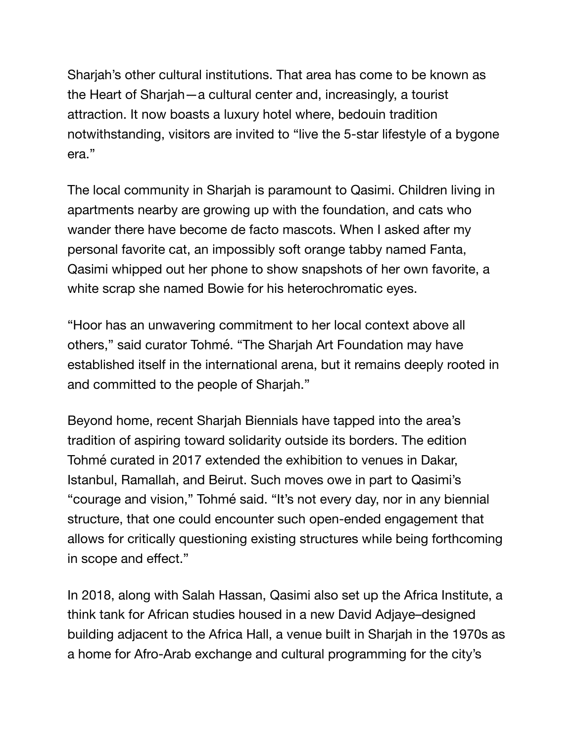Sharjah's other cultural institutions. That area has come to be known as the Heart of Sharjah—a cultural center and, increasingly, a tourist attraction. It now boasts a luxury hotel where, bedouin tradition notwithstanding, visitors are invited to "live the 5-star lifestyle of a bygone era."

The local community in Sharjah is paramount to Qasimi. Children living in apartments nearby are growing up with the foundation, and cats who wander there have become de facto mascots. When I asked after my personal favorite cat, an impossibly soft orange tabby named Fanta, Qasimi whipped out her phone to show snapshots of her own favorite, a white scrap she named Bowie for his heterochromatic eyes.

"Hoor has an unwavering commitment to her local context above all others," said curator Tohmé. "The Sharjah Art Foundation may have established itself in the international arena, but it remains deeply rooted in and committed to the people of Sharjah."

Beyond home, recent Sharjah Biennials have tapped into the area's tradition of aspiring toward solidarity outside its borders. The edition Tohmé curated in 2017 extended the exhibition to venues in Dakar, Istanbul, Ramallah, and Beirut. Such moves owe in part to Qasimi's "courage and vision," Tohmé said. "It's not every day, nor in any biennial structure, that one could encounter such open-ended engagement that allows for critically questioning existing structures while being forthcoming in scope and effect."

In 2018, along with Salah Hassan, Qasimi also set up the Africa Institute, a think tank for African studies housed in a new David Adjaye–designed building adjacent to the Africa Hall, a venue built in Sharjah in the 1970s as a home for Afro-Arab exchange and cultural programming for the city's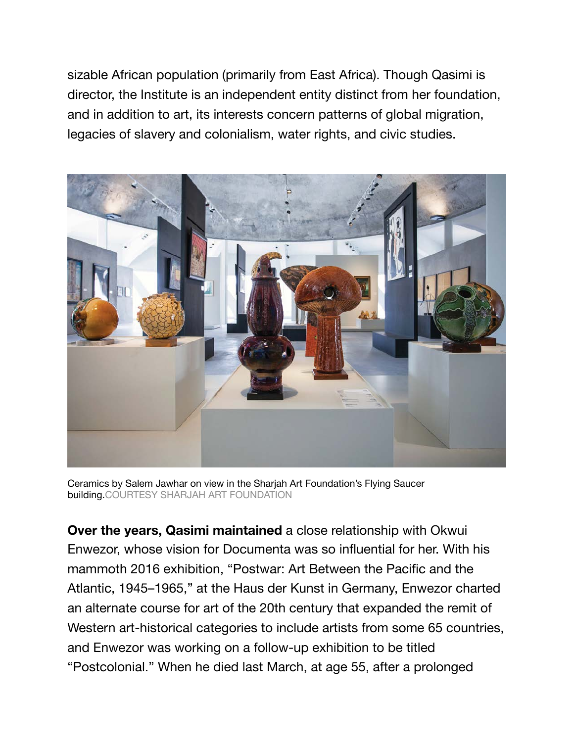sizable African population (primarily from East Africa). Though Qasimi is director, the Institute is an independent entity distinct from her foundation, and in addition to art, its interests concern patterns of global migration, legacies of slavery and colonialism, water rights, and civic studies.



Ceramics by Salem Jawhar on view in the Sharjah Art Foundation's Flying Saucer building.COURTESY SHARJAH ART FOUNDATION

**Over the years, Qasimi maintained** a close relationship with Okwui Enwezor, whose vision for Documenta was so influential for her. With his mammoth 2016 exhibition, "Postwar: Art Between the Pacific and the Atlantic, 1945–1965," at the Haus der Kunst in Germany, Enwezor charted an alternate course for art of the 20th century that expanded the remit of Western art-historical categories to include artists from some 65 countries, and Enwezor was working on a follow-up exhibition to be titled "Postcolonial." When he died last March, at age 55, after a prolonged